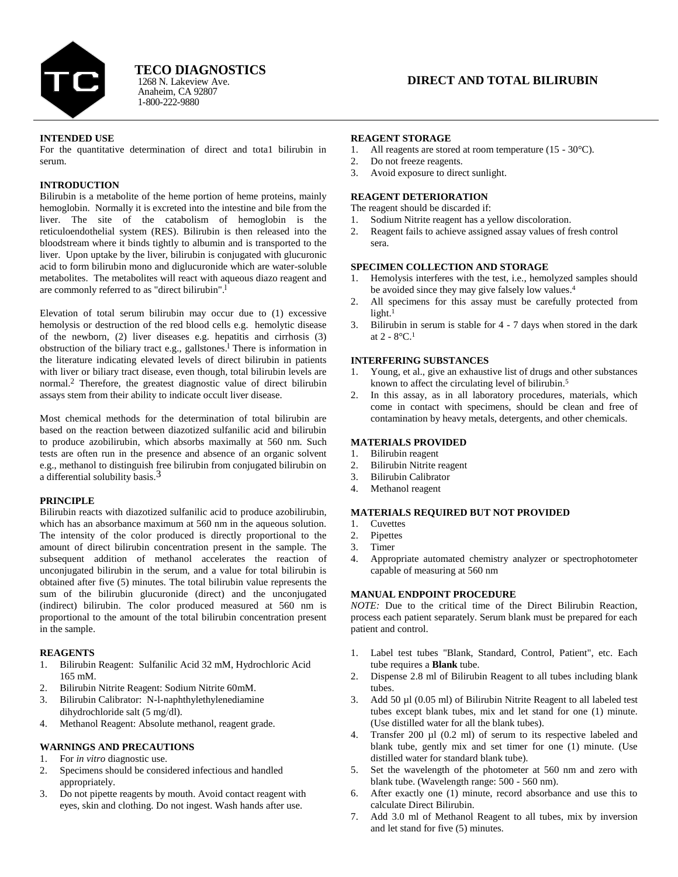

Anaheim, CA 92807 1-800-222-9880 1268 N. Lakeview Ave. **TECO DIAGNOSTICS**

# **INTENDED USE**

For the quantitative determination of direct and tota1 bilirubin in serum.

### **INTRODUCTION**

Bilirubin is a metabolite of the heme portion of heme proteins, mainly hemoglobin. Normally it is excreted into the intestine and bile from the liver. The site of the catabolism of hemoglobin is the reticuloendothelial system (RES). Bilirubin is then released into the bloodstream where it binds tightly to albumin and is transported to the liver. Upon uptake by the liver, bilirubin is conjugated with glucuronic acid to form bilirubin mono and diglucuronide which are water-soluble metabolites. The metabolites will react with aqueous diazo reagent and are commonly referred to as "direct bilirubin".<sup>1</sup>

Elevation of total serum bilirubin may occur due to (1) excessive hemolysis or destruction of the red blood cells e.g. hemolytic disease of the newborn, (2) liver diseases e.g. hepatitis and cirrhosis (3) obstruction of the biliary tract e.g., gallstones.<sup>1</sup> There is information in the literature indicating elevated levels of direct bilirubin in patients with liver or biliary tract disease, even though, total bilirubin levels are normal.<sup>2</sup> Therefore, the greatest diagnostic value of direct bilirubin assays stem from their ability to indicate occult liver disease.

Most chemical methods for the determination of total bilirubin are based on the reaction between diazotized sulfanilic acid and bilirubin to produce azobilirubin, which absorbs maximally at 560 nm. Such tests are often run in the presence and absence of an organic solvent e.g., methanol to distinguish free bilirubin from conjugated bilirubin on a differential solubility basis.3

# **PRINCIPLE**

Bilirubin reacts with diazotized sulfanilic acid to produce azobilirubin, which has an absorbance maximum at 560 nm in the aqueous solution. The intensity of the color produced is directly proportional to the amount of direct bilirubin concentration present in the sample. The subsequent addition of methanol accelerates the reaction of unconjugated bilirubin in the serum, and a value for total bilirubin is obtained after five (5) minutes. The total bilirubin value represents the sum of the bilirubin glucuronide (direct) and the unconjugated (indirect) bilirubin. The color produced measured at 560 nm is proportional to the amount of the total bilirubin concentration present in the sample.

### **REAGENTS**

- 1. Bilirubin Reagent: Sulfanilic Acid 32 mM, Hydrochloric Acid 165 mM.
- 2. Bilirubin Nitrite Reagent: Sodium Nitrite 60mM.
- 3. Bilirubin Calibrator: N-l-naphthylethylenediamine dihydrochloride salt (5 mg/dl).
- 4. Methanol Reagent: Absolute methanol, reagent grade.

### **WARNINGS AND PRECAUTIONS**

- 1. For *in vitro* diagnostic use.
- 2. Specimens should be considered infectious and handled appropriately.
- 3. Do not pipette reagents by mouth. Avoid contact reagent with eyes, skin and clothing. Do not ingest. Wash hands after use.

### **REAGENT STORAGE**

- 1. All reagents are stored at room temperature (15 30°C).
- 2. Do not freeze reagents.
- 3. Avoid exposure to direct sunlight.

# **REAGENT DETERIORATION**

The reagent should be discarded if:

- 1. Sodium Nitrite reagent has a yellow discoloration.
- 2. Reagent fails to achieve assigned assay values of fresh control sera.

### **SPECIMEN COLLECTION AND STORAGE**

- 1. Hemolysis interferes with the test, i.e., hemolyzed samples should be avoided since they may give falsely low values. 4
- All specimens for this assay must be carefully protected from light.<sup>1</sup>
- 3. Bilirubin in serum is stable for 4 7 days when stored in the dark at  $2 - 8$ °C.<sup>1</sup>

# **INTERFERING SUBSTANCES**

- 1. Young, et al., give an exhaustive list of drugs and other substances known to affect the circulating level of bilirubin. 5
- In this assay, as in all laboratory procedures, materials, which come in contact with specimens, should be clean and free of contamination by heavy metals, detergents, and other chemicals.

# **MATERIALS PROVIDED**

- 1. Bilirubin reagent
- 2. Bilirubin Nitrite reagent
- 3. Bilirubin Calibrator
- 4. Methanol reagent

# **MATERIALS REQUIRED BUT NOT PROVIDED**

- 1. Cuvettes
- 2. Pipettes
- 3. Timer
- 4. Appropriate automated chemistry analyzer or spectrophotometer capable of measuring at 560 nm

# **MANUAL ENDPOINT PROCEDURE**

*NOTE:* Due to the critical time of the Direct Bilirubin Reaction, process each patient separately. Serum blank must be prepared for each patient and control.

- 1. Label test tubes "Blank, Standard, Control, Patient", etc. Each tube requires a **Blank** tube.
- 2. Dispense 2.8 ml of Bilirubin Reagent to all tubes including blank tubes.
- 3. Add 50 µl (0.05 ml) of Bilirubin Nitrite Reagent to all labeled test tubes except blank tubes, mix and let stand for one (1) minute. (Use distilled water for all the blank tubes).
- 4. Transfer 200 µl (0.2 ml) of serum to its respective labeled and blank tube, gently mix and set timer for one (1) minute. (Use distilled water for standard blank tube).
- 5. Set the wavelength of the photometer at 560 nm and zero with blank tube. (Wavelength range: 500 - 560 nm).
- 6. After exactly one (1) minute, record absorbance and use this to calculate Direct Bilirubin.
- 7. Add 3.0 ml of Methanol Reagent to all tubes, mix by inversion and let stand for five (5) minutes.